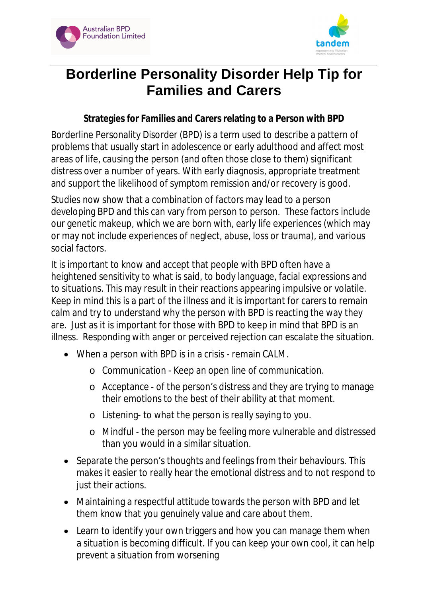



## **Borderline Personality Disorder Help Tip for Families and Carers**

## **Strategies for Families and Carers relating to a Person with BPD**

Borderline Personality Disorder (BPD) is a term used to describe a pattern of problems that usually start in adolescence or early adulthood and affect most areas of life, causing the person (and often those close to them) significant distress over a number of years. With early diagnosis, appropriate treatment and support the likelihood of symptom remission and/or recovery is good.

Studies now show that a combination of factors *may* lead to a person developing BPD and this can vary from person to person. These factors include our genetic makeup, which we are born with, early life experiences (which may or may not include experiences of neglect, abuse, loss or trauma), and various social factors.

It is important to know and accept that people with BPD often have a heightened sensitivity to what is said, to body language, facial expressions and to situations. This may result in their reactions appearing impulsive or volatile. Keep in mind this is a part of the illness and it is important for carers to remain calm and try to understand why the person with BPD is reacting the way they are. Just as it is important for those with BPD to keep in mind that BPD is an illness. Responding with anger or perceived rejection can escalate the situation.

- When a person with BPD is in a crisis remain CALM.
	- o Communication Keep an open line of communication.
	- o Acceptance of the person's distress and they are trying to manage their emotions to the best of their ability at *that* moment.
	- o Listening- to what the person is *really* saying to you.
	- o Mindful the person may be feeling more vulnerable and distressed than you would in a similar situation.
- Separate the person's thoughts and feelings from their behaviours. This makes it easier to really hear the emotional distress and to not respond to just their actions.
- Maintaining a respectful attitude towards the person with BPD and let them know that you *genuinely* value and care about them.
- Learn to identify your own triggers and how you can manage them when a situation is becoming difficult. If you can keep your own cool, it can help prevent a situation from worsening